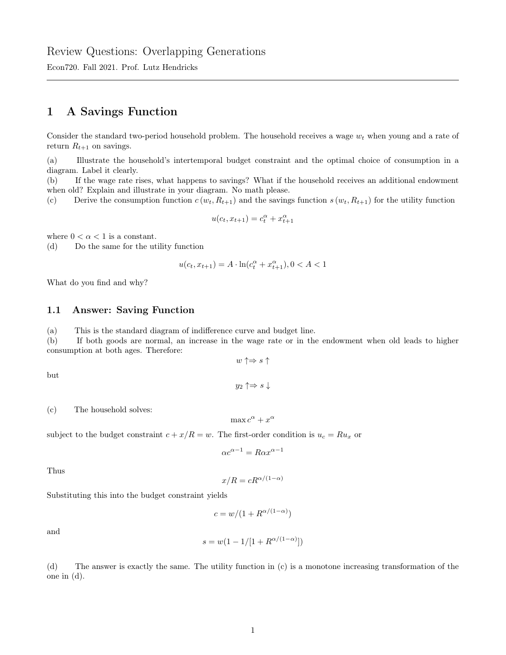Econ720. Fall 2021. Prof. Lutz Hendricks

### 1 A Savings Function

Consider the standard two-period household problem. The household receives a wage  $w_t$  when young and a rate of return  $R_{t+1}$  on savings.

(a) Illustrate the household's intertemporal budget constraint and the optimal choice of consumption in a diagram. Label it clearly.

(b) If the wage rate rises, what happens to savings? What if the household receives an additional endowment when old? Explain and illustrate in your diagram. No math please.

(c) Derive the consumption function  $c(w_t, R_{t+1})$  and the savings function  $s(w_t, R_{t+1})$  for the utility function

$$
u(c_t, x_{t+1}) = c_t^{\alpha} + x_{t+1}^{\alpha}
$$

where  $0 < \alpha < 1$  is a constant.

(d) Do the same for the utility function

$$
u(c_t, x_{t+1}) = A \cdot \ln(c_t^{\alpha} + x_{t+1}^{\alpha}), 0 < A < 1
$$

What do you find and why?

#### 1.1 Answer: Saving Function

(a) This is the standard diagram of indifference curve and budget line.

(b) If both goods are normal, an increase in the wage rate or in the endowment when old leads to higher consumption at both ages. Therefore:

$$
w \uparrow \Rightarrow s \uparrow
$$
  

$$
y_2 \uparrow \Rightarrow s \downarrow
$$

(c) The household solves:

$$
\max c^\alpha + x^\alpha
$$

subject to the budget constraint  $c + x/R = w$ . The first-order condition is  $u_c = Ru_x$  or

$$
\alpha c^{\alpha -1} = R \alpha x^{\alpha -1}
$$

Thus

but

$$
x/R = cR^{\alpha/(1-\alpha)}
$$

Substituting this into the budget constraint yields

$$
c = w/(1 + R^{\alpha/(1-\alpha)})
$$

and

$$
s = w(1 - 1/[1 + R^{\alpha/(1 - \alpha)}])
$$

(d) The answer is exactly the same. The utility function in (c) is a monotone increasing transformation of the one in (d).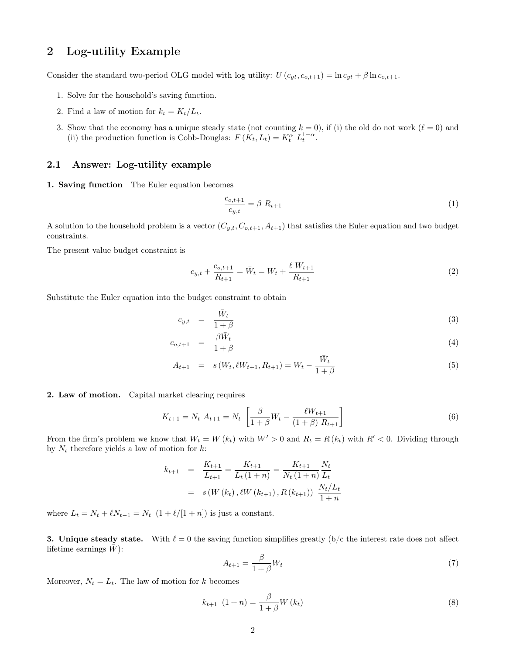# 2 Log-utility Example

Consider the standard two-period OLG model with log utility:  $U(c_{yt}, c_{o,t+1}) = \ln c_{yt} + \beta \ln c_{o,t+1}$ .

- 1. Solve for the household's saving function.
- 2. Find a law of motion for  $k_t = K_t/L_t$ .
- 3. Show that the economy has a unique steady state (not counting  $k = 0$ ), if (i) the old do not work  $(\ell = 0)$  and (ii) the production function is Cobb-Douglas:  $F(K_t, L_t) = K_t^{\alpha} L_t^{1-\alpha}$ .

### 2.1 Answer: Log-utility example

1. Saving function The Euler equation becomes

$$
\frac{c_{o,t+1}}{c_{y,t}} = \beta R_{t+1} \tag{1}
$$

A solution to the household problem is a vector  $(C_{y,t}, C_{o,t+1}, A_{t+1})$  that satisfies the Euler equation and two budget constraints.

The present value budget constraint is

$$
c_{y,t} + \frac{c_{o,t+1}}{R_{t+1}} = \bar{W}_t = W_t + \frac{\ell W_{t+1}}{R_{t+1}}
$$
\n<sup>(2)</sup>

Substitute the Euler equation into the budget constraint to obtain

$$
c_{y,t} = \frac{\bar{W}_t}{1+\beta} \tag{3}
$$

$$
c_{o,t+1} = \frac{\beta \bar{W}_t}{1+\beta} \tag{4}
$$

$$
A_{t+1} = s(W_t, \ell W_{t+1}, R_{t+1}) = W_t - \frac{\bar{W}_t}{1+\beta}
$$
\n
$$
\tag{5}
$$

2. Law of motion. Capital market clearing requires

$$
K_{t+1} = N_t \ A_{t+1} = N_t \ \left[ \frac{\beta}{1+\beta} W_t - \frac{\ell W_{t+1}}{(1+\beta) R_{t+1}} \right] \tag{6}
$$

From the firm's problem we know that  $W_t = W(k_t)$  with  $W' > 0$  and  $R_t = R(k_t)$  with  $R' < 0$ . Dividing through by  $N_t$  therefore yields a law of motion for  $k$ :

$$
k_{t+1} = \frac{K_{t+1}}{L_{t+1}} = \frac{K_{t+1}}{L_t (1+n)} = \frac{K_{t+1}}{N_t (1+n)} \frac{N_t}{L_t}
$$
  
=  $s(W(k_t), \ell W(k_{t+1}), R(k_{t+1})) \frac{N_t / L_t}{1+n}$ 

where  $L_t = N_t + \ell N_{t-1} = N_t \left(1 + \ell/[1 + n]\right)$  is just a constant.

3. Unique steady state. With  $\ell = 0$  the saving function simplifies greatly (b/c the interest rate does not affect lifetime earnings  $\bar{W}$ :

$$
A_{t+1} = \frac{\beta}{1+\beta} W_t \tag{7}
$$

Moreover,  $N_t = L_t$ . The law of motion for k becomes

$$
k_{t+1} (1+n) = \frac{\beta}{1+\beta} W(k_t)
$$
\n(8)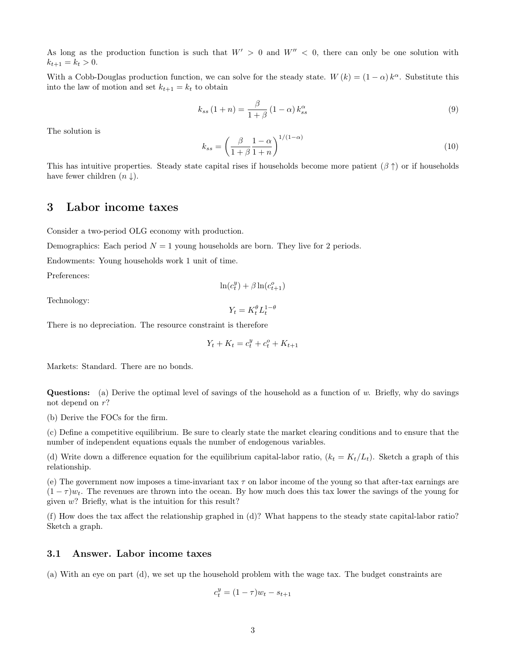As long as the production function is such that  $W' > 0$  and  $W'' < 0$ , there can only be one solution with  $k_{t+1} = k_t > 0.$ 

With a Cobb-Douglas production function, we can solve for the steady state.  $W(k) = (1 - \alpha) k^{\alpha}$ . Substitute this into the law of motion and set  $k_{t+1} = k_t$  to obtain

$$
k_{ss}(1+n) = \frac{\beta}{1+\beta}(1-\alpha)k_{ss}^{\alpha}
$$
\n(9)

The solution is

$$
k_{ss} = \left(\frac{\beta}{1+\beta} \frac{1-\alpha}{1+n}\right)^{1/(1-\alpha)}
$$
\n(10)

This has intuitive properties. Steady state capital rises if households become more patient  $(\beta \uparrow)$  or if households have fewer children  $(n \downarrow)$ .

### 3 Labor income taxes

Consider a two-period OLG economy with production.

Demographics: Each period  $N = 1$  young households are born. They live for 2 periods.

Endowments: Young households work 1 unit of time.

Preferences:

$$
\ln(c_t^y) + \beta \ln(c_{t+1}^o)
$$

Technology:

$$
Y_t = K_t^{\theta} L_t^{1-\theta}
$$

There is no depreciation. The resource constraint is therefore

$$
Y_t + K_t = c_t^y + c_t^o + K_{t+1}
$$

Markets: Standard. There are no bonds.

**Questions:** (a) Derive the optimal level of savings of the household as a function of w. Briefly, why do savings not depend on  $r$ ?

(b) Derive the FOCs for the firm.

(c) Define a competitive equilibrium. Be sure to clearly state the market clearing conditions and to ensure that the number of independent equations equals the number of endogenous variables.

(d) Write down a difference equation for the equilibrium capital-labor ratio,  $(k_t = K_t/L_t)$ . Sketch a graph of this relationship.

(e) The government now imposes a time-invariant tax  $\tau$  on labor income of the young so that after-tax earnings are  $(1 - \tau)w_t$ . The revenues are thrown into the ocean. By how much does this tax lower the savings of the young for given  $w$ ? Briefly, what is the intuition for this result?

(f) How does the tax affect the relationship graphed in (d)? What happens to the steady state capital-labor ratio? Sketch a graph.

#### 3.1 Answer. Labor income taxes

(a) With an eye on part (d), we set up the household problem with the wage tax. The budget constraints are

$$
c_t^y = (1 - \tau)w_t - s_{t+1}
$$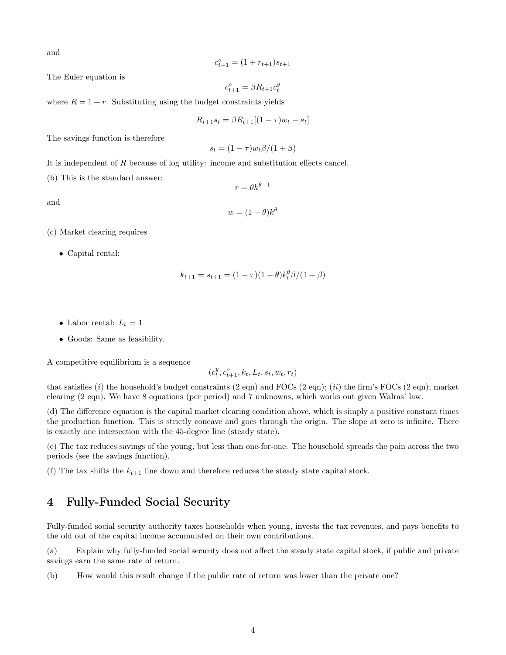and

$$
c_{t+1}^o = (1+r_{t+1})s_{t+1}\\
$$

The Euler equation is

$$
c_{t+1}^o = \beta R_{t+1} c_t^y
$$

where  $R = 1 + r$ . Substituting using the budget constraints yields

$$
R_{t+1}s_t = \beta R_{t+1}[(1-\tau)w_t - s_t]
$$

The savings function is therefore

$$
s_t = (1 - \tau)w_t\beta/(1 + \beta)
$$

It is independent of R because of log utility: income and substitution effects cancel.

(b) This is the standard answer:

and

$$
w = (1 - \theta)k^{\theta}
$$

 $r = \theta k^{\theta - 1}$ 

- (c) Market clearing requires
	- Capital rental:

$$
k_{t+1} = s_{t+1} = (1 - \tau)(1 - \theta)k_t^{\theta} \beta / (1 + \beta)
$$

- Labor rental:  $L_t = 1$
- Goods: Same as feasibility.

A competitive equilibrium is a sequence

$$
(c_t^y, c_{t+1}^o, k_t, L_t, s_t, w_t, r_t)
$$

that satisfies  $(i)$  the household's budget constraints  $(2 \text{ eqn})$  and  $\text{FOCs}$   $(2 \text{ eqn})$ ;  $(ii)$  the firm's  $\text{FOCs}$   $(2 \text{ eqn})$ ; market clearing (2 eqn). We have 8 equations (per period) and 7 unknowns, which works out given Walras' law.

(d) The difference equation is the capital market clearing condition above, which is simply a positive constant times the production function. This is strictly concave and goes through the origin. The slope at zero is infinite. There is exactly one intersection with the 45-degree line (steady state).

(e) The tax reduces savings of the young, but less than one-for-one. The household spreads the pain across the two periods (see the savings function).

(f) The tax shifts the  $k_{t+1}$  line down and therefore reduces the steady state capital stock.

# 4 Fully-Funded Social Security

Fully-funded social security authority taxes households when young, invests the tax revenues, and pays benefits to the old out of the capital income accumulated on their own contributions.

(a) Explain why fully-funded social security does not affect the steady state capital stock, if public and private savings earn the same rate of return.

(b) How would this result change if the public rate of return was lower than the private one?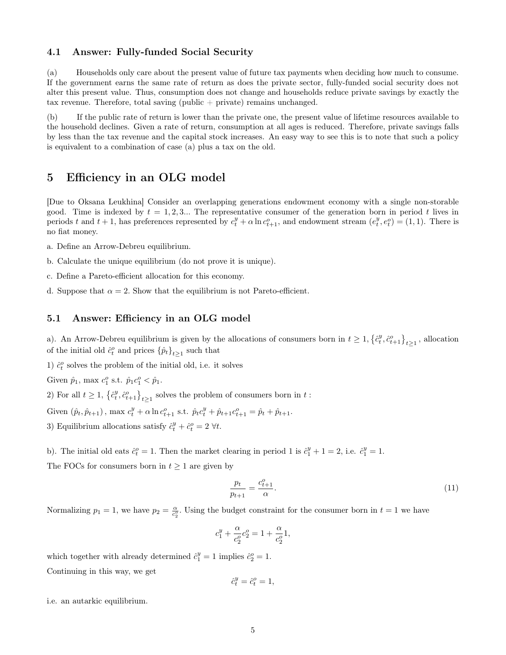#### 4.1 Answer: Fully-funded Social Security

(a) Households only care about the present value of future tax payments when deciding how much to consume. If the government earns the same rate of return as does the private sector, fully-funded social security does not alter this present value. Thus, consumption does not change and households reduce private savings by exactly the tax revenue. Therefore, total saving (public + private) remains unchanged.

(b) If the public rate of return is lower than the private one, the present value of lifetime resources available to the household declines. Given a rate of return, consumption at all ages is reduced. Therefore, private savings falls by less than the tax revenue and the capital stock increases. An easy way to see this is to note that such a policy is equivalent to a combination of case (a) plus a tax on the old.

### 5 Efficiency in an OLG model

[Due to Oksana Leukhina] Consider an overlapping generations endowment economy with a single non-storable good. Time is indexed by  $t = 1, 2, 3...$  The representative consumer of the generation born in period t lives in periods t and  $t + 1$ , has preferences represented by  $c_t^y + \alpha \ln c_{t+1}^o$ , and endowment stream  $(e_t^y, e_t^o) = (1, 1)$ . There is no fiat money.

- a. Define an Arrow-Debreu equilibrium.
- b. Calculate the unique equilibrium (do not prove it is unique).
- c. Define a Pareto-efficient allocation for this economy.
- d. Suppose that  $\alpha = 2$ . Show that the equilibrium is not Pareto-efficient.

#### 5.1 Answer: Efficiency in an OLG model

a). An Arrow-Debreu equilibrium is given by the allocations of consumers born in  $t \geq 1, \{\hat{c}_t^y, \hat{c}_{t+1}^o\}_{t \geq 1}$ , allocation of the initial old  $\hat{c}_t^o$  and prices  $\{\hat{p}_t\}_{t\geq 1}$  such that

1)  $\hat{c}_t^o$  solves the problem of the initial old, i.e. it solves

Given  $\hat{p}_1$ , max  $c_1^o$  s.t.  $\hat{p}_1 c_1^o < \hat{p}_1$ .

2) For all  $t \geq 1$ ,  $\left\{\hat{c}_t^y, \hat{c}_{t+1}^o\right\}_{t \geq 1}$  solves the problem of consumers born in  $t$ :

Given  $(\hat{p}_t, \hat{p}_{t+1})$ , max  $c_t^y + \alpha \ln c_{t+1}^o$  s.t.  $\hat{p}_t c_t^y + \hat{p}_{t+1} c_{t+1}^o = \hat{p}_t + \hat{p}_{t+1}$ .

3) Equilibrium allocations satisfy  $\hat{c}_t^y + \hat{c}_t^o = 2 \ \forall t$ .

b). The initial old eats  $\hat{c}_t^o = 1$ . Then the market clearing in period 1 is  $\hat{c}_1^y + 1 = 2$ , i.e.  $\hat{c}_1^y = 1$ .

The FOCs for consumers born in  $t \geq 1$  are given by

$$
\frac{p_t}{p_{t+1}} = \frac{c_{t+1}^o}{\alpha}.\tag{11}
$$

Normalizing  $p_1 = 1$ , we have  $p_2 = \frac{\alpha}{c_2^o}$ . Using the budget constraint for the consumer born in  $t = 1$  we have

$$
c_1^y + \frac{\alpha}{c_2^o}c_2^o = 1 + \frac{\alpha}{c_2^o}1,
$$

which together with already determined  $\hat{c}_1^y = 1$  implies  $\hat{c}_2^o = 1$ . Continuing in this way, we get

$$
\hat{c}_t^y = \hat{c}_t^o = 1,
$$

i.e. an autarkic equilibrium.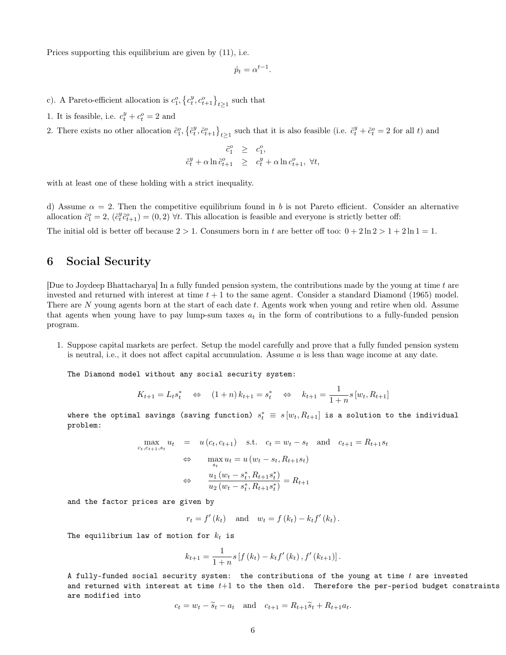Prices supporting this equilibrium are given by (11), i.e.

$$
\hat{p}_t = \alpha^{t-1}.
$$

- c). A Pareto-efficient allocation is  $c_1^o, \{c_t^y, c_{t+1}^o\}_{t\geq 1}$  such that
- 1. It is feasible, i.e.  $c_t^y + c_t^o = 2$  and
- 2. There exists no other allocation  $\tilde{c}_1^o, \{\tilde{c}_t^y, \tilde{c}_{t+1}^o\}_{t \geq 1}$  such that it is also feasible (i.e.  $\tilde{c}_t^y + \tilde{c}_t^o = 2$  for all t) and

$$
\tilde{c}_1^o \geq c_1^o,
$$
  

$$
\tilde{c}_t^y + \alpha \ln \tilde{c}_{t+1}^o \geq c_t^y + \alpha \ln c_{t+1}^o, \forall t,
$$

with at least one of these holding with a strict inequality.

d) Assume  $\alpha = 2$ . Then the competitive equilibrium found in b is not Pareto efficient. Consider an alternative allocation  $\tilde{c}_1^o = 2$ ,  $(\tilde{c}_t^y \tilde{c}_{t+1}^o) = (0, 2)$   $\forall t$ . This allocation is feasible and everyone is strictly better off:

The initial old is better off because  $2 > 1$ . Consumers born in t are better off too:  $0 + 2\ln 2 > 1 + 2\ln 1 = 1$ .

### 6 Social Security

[Due to Joydeep Bhattacharya] In a fully funded pension system, the contributions made by the young at time  $t$  are invested and returned with interest at time  $t + 1$  to the same agent. Consider a standard Diamond (1965) model. There are N young agents born at the start of each date t. Agents work when young and retire when old. Assume that agents when young have to pay lump-sum taxes  $a_t$  in the form of contributions to a fully-funded pension program.

1. Suppose capital markets are perfect. Setup the model carefully and prove that a fully funded pension system is neutral, i.e., it does not affect capital accumulation. Assume  $a$  is less than wage income at any date.

The Diamond model without any social security system:

$$
K_{t+1} = L_t s_t^* \Leftrightarrow (1+n) k_{t+1} = s_t^* \Leftrightarrow k_{t+1} = \frac{1}{1+n} s [w_t, R_{t+1}]
$$

where the optimal savings (saving function)  $s_t^* \, \equiv \, s \, [w_t, R_{t+1}]$  is a solution to the individual problem:

$$
\max_{c_t, c_{t+1}, s_t} u_t = u(c_t, c_{t+1}) \text{ s.t. } c_t = w_t - s_t \text{ and } c_{t+1} = R_{t+1} s_t
$$
  
\n
$$
\Leftrightarrow \max_{s_t} u_t = u(w_t - s_t, R_{t+1} s_t)
$$
  
\n
$$
\Leftrightarrow \frac{u_1(w_t - s_t^*, R_{t+1} s_t^*)}{u_2(w_t - s_t^*, R_{t+1} s_t^*)} = R_{t+1}
$$

and the factor prices are given by

$$
r_t = f'(k_t)
$$
 and  $w_t = f(k_t) - k_t f'(k_t)$ .

The equilibrium law of motion for  $k_t$  is

$$
k_{t+1} = \frac{1}{1+n} s \left[ f (k_t) - k_t f' (k_t) , f' (k_{t+1}) \right].
$$

A fully-funded social security system: the contributions of the young at time  $t$  are invested and returned with interest at time  $t+1$  to the then old. Therefore the per-period budget constraints are modified into

$$
c_t = w_t - \tilde{s}_t - a_t \quad \text{and} \quad c_{t+1} = R_{t+1}\tilde{s}_t + R_{t+1}a_t.
$$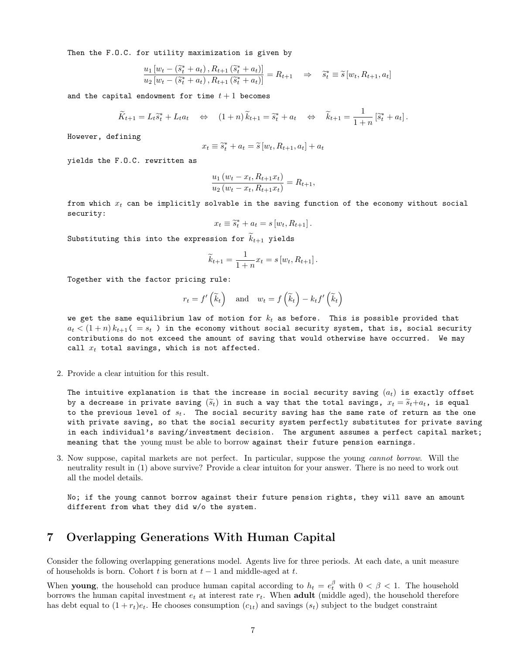Then the F.O.C. for utility maximization is given by

$$
\frac{u_1\left[w_t - (\tilde{s}_t^* + a_t), R_{t+1}(\tilde{s}_t^* + a_t)\right]}{u_2\left[w_t - (\tilde{s}_t^* + a_t), R_{t+1}(\tilde{s}_t^* + a_t)\right]} = R_{t+1} \Rightarrow \tilde{s}_t^* \equiv \tilde{s}\left[w_t, R_{t+1}, a_t\right]
$$

and the capital endowment for time  $t + 1$  becomes

$$
\widetilde{K}_{t+1} = L_t \widetilde{s}_t^* + L_t a_t \quad \Leftrightarrow \quad (1+n) \widetilde{k}_{t+1} = \widetilde{s}_t^* + a_t \quad \Leftrightarrow \quad \widetilde{k}_{t+1} = \frac{1}{1+n} \left[ \widetilde{s}_t^* + a_t \right].
$$

However, defining

$$
x_t \equiv \widetilde{s}_t^* + a_t = \widetilde{s}[w_t, R_{t+1}, a_t] + a_t
$$

yields the F.O.C. rewritten as

$$
\frac{u_1(u_t - x_t, R_{t+1}x_t)}{u_2(u_t - x_t, R_{t+1}x_t)} = R_{t+1},
$$

from which  $x_t$  can be implicitly solvable in the saving function of the economy without social security:

$$
x_t \equiv \tilde{s}_t^* + a_t = s [w_t, R_{t+1}].
$$

Substituting this into the expression for  $\widetilde{k}_{t+1}$  yields

$$
\widetilde{k}_{t+1} = \frac{1}{1+n} x_t = s [w_t, R_{t+1}].
$$

Together with the factor pricing rule:

$$
r_t = f'\left(\widetilde{k}_t\right)
$$
 and  $w_t = f\left(\widetilde{k}_t\right) - k_t f'\left(\widetilde{k}_t\right)$ 

we get the same equilibrium law of motion for  $k_t$  as before. This is possible provided that  $a_t < (1+n) k_{t+1}$  ( =  $s_t$  ) in the economy without social security system, that is, social security contributions do not exceed the amount of saving that would otherwise have occurred. We may call  $x_t$  total savings, which is not affected.

2. Provide a clear intuition for this result.

The intuitive explanation is that the increase in social security saving  $(a_t)$  is exactly offset by a decrease in private saving  $(\widetilde{s}_t)$  in such a way that the total savings,  $x_t = \widetilde{s}_t + a_t$ , is equal to the previous level of  $s_t$ . The social security saving has the same rate of return as the one with private saving, so that the social security system perfectly substitutes for private saving in each individual's saving/investment decision. The argument assumes a perfect capital market; meaning that the young must be able to borrow against their future pension earnings.

3. Now suppose, capital markets are not perfect. In particular, suppose the young cannot borrow. Will the neutrality result in (1) above survive? Provide a clear intuiton for your answer. There is no need to work out all the model details.

No; if the young cannot borrow against their future pension rights, they will save an amount different from what they did w/o the system.

### 7 Overlapping Generations With Human Capital

Consider the following overlapping generations model. Agents live for three periods. At each date, a unit measure of households is born. Cohort  $t$  is born at  $t-1$  and middle-aged at  $t$ .

When **young**, the household can produce human capital according to  $h_t = e_t^{\beta}$  with  $0 < \beta < 1$ . The household borrows the human capital investment  $e_t$  at interest rate  $r_t$ . When **adult** (middle aged), the household therefore has debt equal to  $(1 + r_t)e_t$ . He chooses consumption  $(c_{1t})$  and savings  $(s_t)$  subject to the budget constraint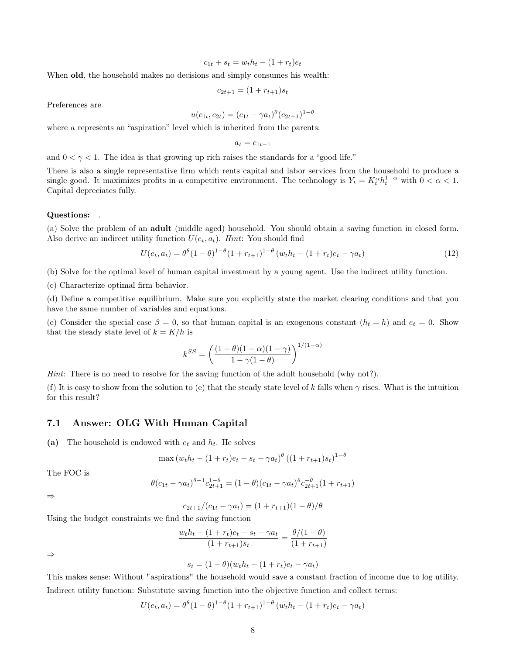$$
c_{1t} + s_t = w_t h_t - (1 + r_t)e_t
$$

When old, the household makes no decisions and simply consumes his wealth:

$$
c_{2t+1} = (1 + r_{t+1})s_t
$$

Preferences are

$$
u(c_{1t}, c_{2t}) = (c_{1t} - \gamma a_t)^{\theta} (c_{2t+1})^{1-\theta}
$$

where a represents an "aspiration" level which is inherited from the parents:

$$
a_t = c_{1t-1}
$$

and  $0 < \gamma < 1$ . The idea is that growing up rich raises the standards for a "good life."

There is also a single representative firm which rents capital and labor services from the household to produce a single good. It maximizes profits in a competitive environment. The technology is  $Y_t = K_t^{\alpha} h_t^{1-\alpha}$  with  $0 < \alpha < 1$ . Capital depreciates fully.

#### Questions: .

(a) Solve the problem of an adult (middle aged) household. You should obtain a saving function in closed form. Also derive an indirect utility function  $U(e_t, a_t)$ . Hint: You should find

$$
U(e_t, a_t) = \theta^{\theta} (1 - \theta)^{1 - \theta} (1 + r_{t+1})^{1 - \theta} (w_t h_t - (1 + r_t)e_t - \gamma a_t)
$$
\n(12)

(b) Solve for the optimal level of human capital investment by a young agent. Use the indirect utility function.

(c) Characterize optimal firm behavior.

(d) Define a competitive equilibrium. Make sure you explicitly state the market clearing conditions and that you have the same number of variables and equations.

(e) Consider the special case  $\beta = 0$ , so that human capital is an exogenous constant  $(h_t = h)$  and  $e_t = 0$ . Show that the steady state level of  $k = K/h$  is

$$
k^{SS} = \left(\frac{(1-\theta)(1-\alpha)(1-\gamma)}{1-\gamma(1-\theta)}\right)^{1/(1-\alpha)}
$$

Hint: There is no need to resolve for the saving function of the adult household (why not?).

(f) It is easy to show from the solution to (e) that the steady state level of k falls when  $\gamma$  rises. What is the intuition for this result?

#### 7.1 Answer: OLG With Human Capital

(a) The household is endowed with  $e_t$  and  $h_t$ . He solves

$$
\max (w_t h_t - (1 + r_t)e_t - s_t - \gamma a_t)^{\theta} ((1 + r_{t+1})s_t)^{1 - \theta}
$$

The FOC is

$$
\theta(c_{1t} - \gamma a_t)^{\theta - 1} c_{2t+1}^{1-\theta} = (1 - \theta)(c_{1t} - \gamma a_t)^{\theta} c_{2t+1}^{-\theta} (1 + r_{t+1})
$$

⇒

$$
c_{2t+1}/(c_{1t} - \gamma a_t) = (1 + r_{t+1})(1 - \theta)/\theta
$$

Using the budget constraints we find the saving function

$$
\frac{w_t h_t - (1 + r_t)e_t - s_t - \gamma a_t}{(1 + r_{t+1})s_t} = \frac{\theta/(1 - \theta)}{(1 + r_{t+1})}
$$

⇒

$$
s_t = (1 - \theta)(w_t h_t - (1 + r_t)e_t - \gamma a_t)
$$

This makes sense: Without "aspirations" the household would save a constant fraction of income due to log utility. Indirect utility function: Substitute saving function into the objective function and collect terms:

$$
U(e_t, a_t) = \theta^{\theta} (1 - \theta)^{1 - \theta} (1 + r_{t+1})^{1 - \theta} (w_t h_t - (1 + r_t) e_t - \gamma a_t)
$$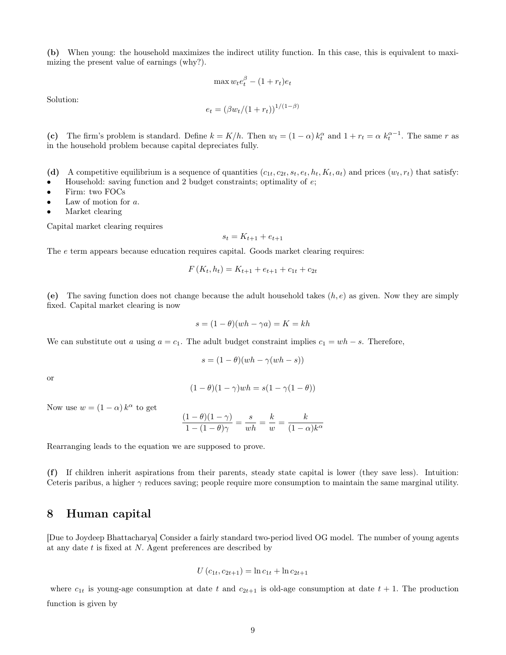(b) When young: the household maximizes the indirect utility function. In this case, this is equivalent to maximizing the present value of earnings (why?).

$$
\max w_t e_t^{\beta} - (1 + r_t)e_t
$$

Solution:

$$
e_t = (\beta w_t / (1 + r_t))^{1/(1 - \beta)}
$$

(c) The firm's problem is standard. Define  $k = K/h$ . Then  $w_t = (1 - \alpha) k_t^{\alpha}$  and  $1 + r_t = \alpha k_t^{\alpha - 1}$ . The same r as in the household problem because capital depreciates fully.

- (d) A competitive equilibrium is a sequence of quantities  $(c_{1t}, c_{2t}, s_t, e_t, h_t, K_t, a_t)$  and prices  $(w_t, r_t)$  that satisfy:
- Household: saving function and 2 budget constraints; optimality of  $e$ ;
- Firm: two FOCs
- Law of motion for  $a$ .
- Market clearing

Capital market clearing requires

$$
s_t = K_{t+1} + e_{t+1}
$$

The e term appears because education requires capital. Goods market clearing requires:

$$
F(K_t, h_t) = K_{t+1} + e_{t+1} + c_{1t} + c_{2t}
$$

(e) The saving function does not change because the adult household takes  $(h, e)$  as given. Now they are simply fixed. Capital market clearing is now

$$
s = (1 - \theta)(wh - \gamma a) = K = kh
$$

We can substitute out a using  $a = c_1$ . The adult budget constraint implies  $c_1 = wh - s$ . Therefore,

$$
s = (1 - \theta)(wh - \gamma(wh - s))
$$

or

$$
(1 - \theta)(1 - \gamma)wh = s(1 - \gamma(1 - \theta))
$$

Now use  $w = (1 - \alpha) k^{\alpha}$  to get

$$
\frac{(1-\theta)(1-\gamma)}{1-(1-\theta)\gamma} = \frac{s}{wh} = \frac{k}{w} = \frac{k}{(1-\alpha)k^{\alpha}}
$$

Rearranging leads to the equation we are supposed to prove.

(f) If children inherit aspirations from their parents, steady state capital is lower (they save less). Intuition: Ceteris paribus, a higher  $\gamma$  reduces saving; people require more consumption to maintain the same marginal utility.

### 8 Human capital

[Due to Joydeep Bhattacharya] Consider a fairly standard two-period lived OG model. The number of young agents at any date t is fixed at N. Agent preferences are described by

$$
U(c_{1t}, c_{2t+1}) = \ln c_{1t} + \ln c_{2t+1}
$$

where  $c_{1t}$  is young-age consumption at date t and  $c_{2t+1}$  is old-age consumption at date  $t + 1$ . The production function is given by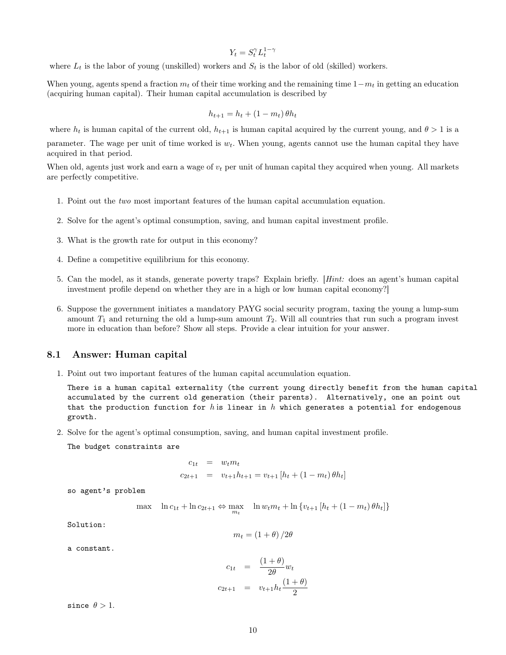$$
Y_t = S_t^{\gamma} L_t^{1-\gamma}
$$

where  $L_t$  is the labor of young (unskilled) workers and  $S_t$  is the labor of old (skilled) workers.

When young, agents spend a fraction  $m_t$  of their time working and the remaining time  $1-m_t$  in getting an education (acquiring human capital). Their human capital accumulation is described by

$$
h_{t+1} = h_t + (1 - m_t) \theta h_t
$$

where  $h_t$  is human capital of the current old,  $h_{t+1}$  is human capital acquired by the current young, and  $\theta > 1$  is a parameter. The wage per unit of time worked is  $w_t$ . When young, agents cannot use the human capital they have acquired in that period.

When old, agents just work and earn a wage of  $v_t$  per unit of human capital they acquired when young. All markets are perfectly competitive.

- 1. Point out the two most important features of the human capital accumulation equation.
- 2. Solve for the agent's optimal consumption, saving, and human capital investment profile.
- 3. What is the growth rate for output in this economy?
- 4. Define a competitive equilibrium for this economy.
- 5. Can the model, as it stands, generate poverty traps? Explain briefly. [Hint: does an agent's human capital investment profile depend on whether they are in a high or low human capital economy?]
- 6. Suppose the government initiates a mandatory PAYG social security program, taxing the young a lump-sum amount  $T_1$  and returning the old a lump-sum amount  $T_2$ . Will all countries that run such a program invest more in education than before? Show all steps. Provide a clear intuition for your answer.

### 8.1 Answer: Human capital

1. Point out two important features of the human capital accumulation equation.

There is a human capital externality (the current young directly benefit from the human capital accumulated by the current old generation (their parents). Alternatively, one an point out that the production function for h is linear in h which generates a potential for endogenous growth.

2. Solve for the agent's optimal consumption, saving, and human capital investment profile.

The budget constraints are

$$
c_{1t} = w_t m_t
$$
  

$$
c_{2t+1} = v_{t+1} h_{t+1} = v_{t+1} [h_t + (1 - m_t) \theta h_t]
$$

so agent's problem

$$
\max \quad \ln c_{1t} + \ln c_{2t+1} \Leftrightarrow \max_{m_t} \quad \ln w_t m_t + \ln \{v_{t+1} [h_t + (1 - m_t) \theta h_t] \}
$$

Solution:

$$
m_t = \left(1 + \theta\right)/2\theta
$$

a constant.

$$
c_{1t} = \frac{(1+\theta)}{2\theta} w_t
$$
  

$$
c_{2t+1} = v_{t+1} h_t \frac{(1+\theta)}{2}
$$

since  $\theta > 1$ .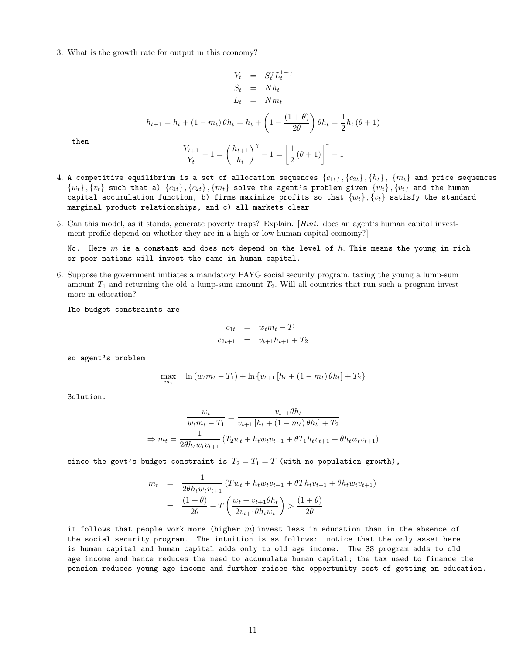3. What is the growth rate for output in this economy?

$$
Y_t = S_t^{\gamma} L_t^{1-\gamma}
$$
  
\n
$$
S_t = Nh_t
$$
  
\n
$$
L_t = Nm_t
$$
  
\n
$$
h_{t+1} = h_t + (1 - m_t) \theta h_t = h_t + \left(1 - \frac{(1 + \theta)}{2\theta}\right) \theta h_t = \frac{1}{2} h_t (\theta + 1)
$$
  
\n
$$
\frac{Y_{t+1}}{Y_t} - 1 = \left(\frac{h_{t+1}}{h_t}\right)^{\gamma} - 1 = \left[\frac{1}{2} (\theta + 1)\right]^{\gamma} - 1
$$

then

4. A competitive equilibrium is a set of allocation sequences 
$$
\{c_{1t}\}, \{c_{2t}\}, \{h_t\}, \{m_t\}
$$
 and price sequences  $\{w_t\}, \{v_t\}$  such that a)  $\{c_{1t}\}, \{c_{2t}\}, \{m_t\}$  solve the agent's problem given  $\{w_t\}, \{v_t\}$  and the human capital accumulation function, b) firms maximize profits so that  $\{w_t\}, \{v_t\}$  satisfy the standard marginal product relationships, and c) all markets clear

5. Can this model, as it stands, generate poverty traps? Explain. [Hint: does an agent's human capital investment profile depend on whether they are in a high or low human capital economy?]

No. Here  $m$  is a constant and does not depend on the level of  $h$ . This means the young in rich or poor nations will invest the same in human capital.

6. Suppose the government initiates a mandatory PAYG social security program, taxing the young a lump-sum amount  $T_1$  and returning the old a lump-sum amount  $T_2$ . Will all countries that run such a program invest more in education?

The budget constraints are

$$
c_{1t} = w_t m_t - T_1
$$
  

$$
c_{2t+1} = v_{t+1} h_{t+1} + T_2
$$

so agent's problem

$$
\max_{m_t} \quad \ln \left( w_t m_t - T_1 \right) + \ln \left\{ v_{t+1} \left[ h_t + \left( 1 - m_t \right) \theta h_t \right] + T_2 \right\}
$$

Solution:

$$
\frac{w_t}{w_t m_t - T_1} = \frac{v_{t+1} \theta h_t}{v_{t+1} [h_t + (1 - m_t) \theta h_t] + T_2}
$$

$$
\Rightarrow m_t = \frac{1}{2\theta h_t w_t v_{t+1}} (T_2 w_t + h_t w_t v_{t+1} + \theta T_1 h_t v_{t+1} + \theta h_t w_t v_{t+1})
$$

since the govt's budget constraint is  $T_2 = T_1 = T$  (with no population growth),

$$
m_t = \frac{1}{2\theta h_t w_t v_{t+1}} (Tw_t + h_t w_t v_{t+1} + \theta Th_t v_{t+1} + \theta h_t w_t v_{t+1})
$$
  
= 
$$
\frac{(1+\theta)}{2\theta} + T \left( \frac{w_t + v_{t+1}\theta h_t}{2v_{t+1}\theta h_t w_t} \right) > \frac{(1+\theta)}{2\theta}
$$

it follows that people work more (higher  $m$ ) invest less in education than in the absence of the social security program. The intuition is as follows: notice that the only asset here is human capital and human capital adds only to old age income. The SS program adds to old age income and hence reduces the need to accumulate human capital; the tax used to finance the pension reduces young age income and further raises the opportunity cost of getting an education.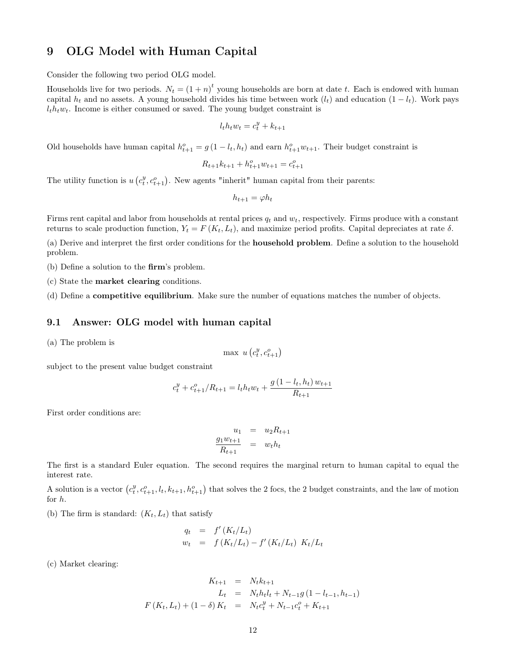## 9 OLG Model with Human Capital

Consider the following two period OLG model.

Households live for two periods.  $N_t = (1 + n)^t$  young households are born at date t. Each is endowed with human capital  $h_t$  and no assets. A young household divides his time between work  $(l_t)$  and education  $(1 - l_t)$ . Work pays  $l_t h_t w_t$ . Income is either consumed or saved. The young budget constraint is

$$
l_t h_t w_t = c_t^y + k_{t+1}
$$

Old households have human capital  $h_{t+1}^o = g(1 - l_t, h_t)$  and earn  $h_{t+1}^o w_{t+1}$ . Their budget constraint is

$$
R_{t+1}k_{t+1} + h_{t+1}^o w_{t+1} = c_{t+1}^o
$$

The utility function is  $u(c_t^y, c_{t+1}^o)$ . New agents "inherit" human capital from their parents:

$$
h_{t+1} = \varphi h_t
$$

Firms rent capital and labor from households at rental prices  $q_t$  and  $w_t$ , respectively. Firms produce with a constant returns to scale production function,  $Y_t = F(K_t, L_t)$ , and maximize period profits. Capital depreciates at rate  $\delta$ .

(a) Derive and interpret the first order conditions for the household problem. Define a solution to the household problem.

(b) Define a solution to the firm's problem.

(c) State the market clearing conditions.

(d) Define a competitive equilibrium. Make sure the number of equations matches the number of objects.

#### 9.1 Answer: OLG model with human capital

(a) The problem is

$$
\max \ u\left(c_t^y, c_{t+1}^o\right)
$$

subject to the present value budget constraint

$$
c_t^y + c_{t+1}^o / R_{t+1} = l_t h_t w_t + \frac{g(1 - l_t, h_t) w_{t+1}}{R_{t+1}}
$$

First order conditions are:

$$
u_1 = u_2 R_{t+1}
$$
  

$$
\frac{g_1 w_{t+1}}{R_{t+1}} = w_t h_t
$$

The first is a standard Euler equation. The second requires the marginal return to human capital to equal the interest rate.

A solution is a vector  $(c_t^y, c_{t+1}^o, l_t, k_{t+1}, h_{t+1}^o)$  that solves the 2 focs, the 2 budget constraints, and the law of motion for h.

(b) The firm is standard:  $(K_t, L_t)$  that satisfy

$$
q_t = f'(K_t/L_t)
$$
  
\n
$$
w_t = f(K_t/L_t) - f'(K_t/L_t) K_t/L_t
$$

(c) Market clearing:

$$
K_{t+1} = N_t k_{t+1}
$$
  
\n
$$
L_t = N_t h_t l_t + N_{t-1} g (1 - l_{t-1}, h_{t-1})
$$
  
\n
$$
F(K_t, L_t) + (1 - \delta) K_t = N_t c_t^y + N_{t-1} c_t^o + K_{t+1}
$$